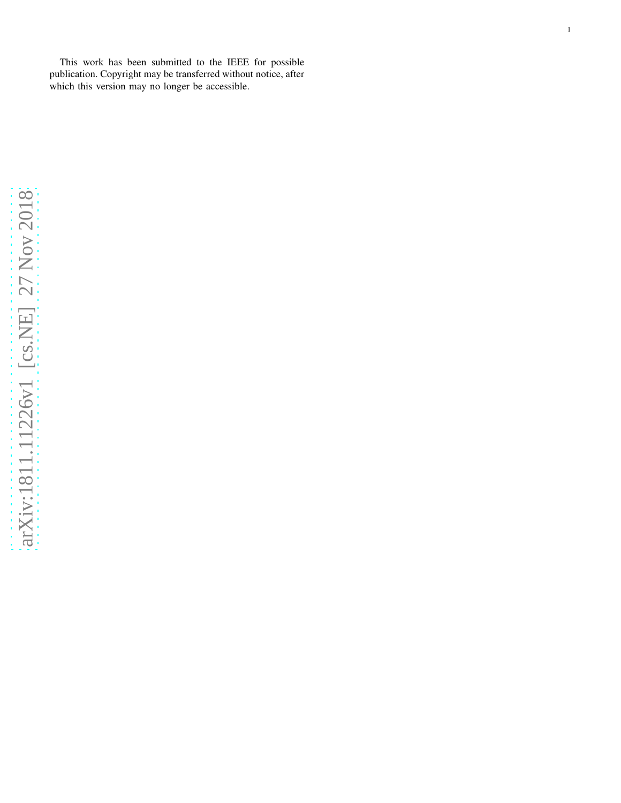This work has been submitted to the IEEE for possible publication. Copyright may be transferred without notice, after which this version may no longer be accessible.

1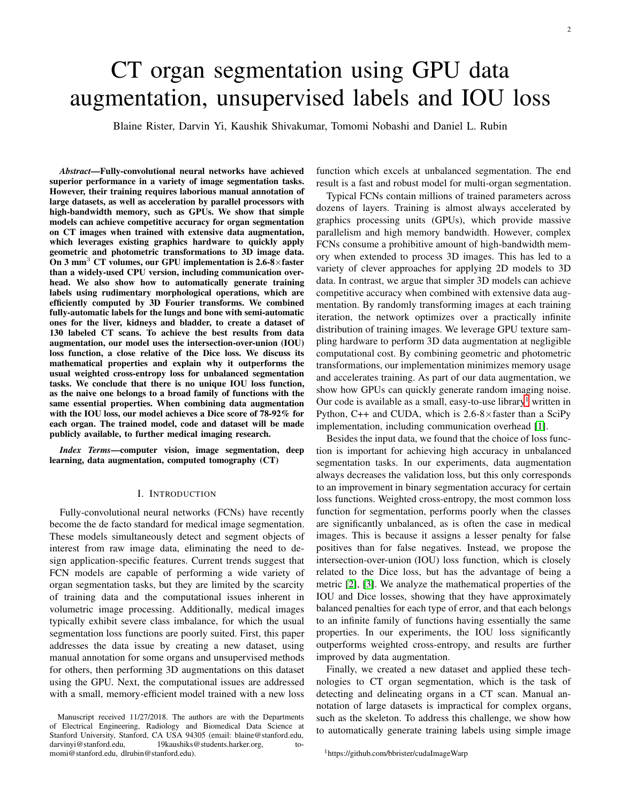# CT organ segmentation using GPU data augmentation, unsupervised labels and IOU loss

Blaine Rister, Darvin Yi, Kaushik Shivakumar, Tomomi Nobashi and Daniel L. Rubin

*Abstract*—Fully-convolutional neural networks have achieved superior performance in a variety of image segmentation tasks. However, their training requires laborious manual annotation of large datasets, as well as acceleration by parallel processors with high-bandwidth memory, such as GPUs. We show that simple models can achieve competitive accuracy for organ segmentation on CT images when trained with extensive data augmentation, which leverages existing graphics hardware to quickly apply geometric and photometric transformations to 3D image data. On 3 mm<sup>3</sup> CT volumes, our GPU implementation is  $2.6-8\times$  faster than a widely-used CPU version, including communication overhead. We also show how to automatically generate training labels using rudimentary morphological operations, which are efficiently computed by 3D Fourier transforms. We combined fully-automatic labels for the lungs and bone with semi-automatic ones for the liver, kidneys and bladder, to create a dataset of 130 labeled CT scans. To achieve the best results from data augmentation, our model uses the intersection-over-union (IOU) loss function, a close relative of the Dice loss. We discuss its mathematical properties and explain why it outperforms the usual weighted cross-entropy loss for unbalanced segmentation tasks. We conclude that there is no unique IOU loss function, as the naive one belongs to a broad family of functions with the same essential properties. When combining data augmentation with the IOU loss, our model achieves a Dice score of 78-92% for each organ. The trained model, code and dataset will be made publicly available, to further medical imaging research.

*Index Terms*—computer vision, image segmentation, deep learning, data augmentation, computed tomography (CT)

#### I. INTRODUCTION

Fully-convolutional neural networks (FCNs) have recently become the de facto standard for medical image segmentation. These models simultaneously detect and segment objects of interest from raw image data, eliminating the need to design application-specific features. Current trends suggest that FCN models are capable of performing a wide variety of organ segmentation tasks, but they are limited by the scarcity of training data and the computational issues inherent in volumetric image processing. Additionally, medical images typically exhibit severe class imbalance, for which the usual segmentation loss functions are poorly suited. First, this paper addresses the data issue by creating a new dataset, using manual annotation for some organs and unsupervised methods for others, then performing 3D augmentations on this dataset using the GPU. Next, the computational issues are addressed with a small, memory-efficient model trained with a new loss

function which excels at unbalanced segmentation. The end result is a fast and robust model for multi-organ segmentation.

Typical FCNs contain millions of trained parameters across dozens of layers. Training is almost always accelerated by graphics processing units (GPUs), which provide massive parallelism and high memory bandwidth. However, complex FCNs consume a prohibitive amount of high-bandwidth memory when extended to process 3D images. This has led to a variety of clever approaches for applying 2D models to 3D data. In contrast, we argue that simpler 3D models can achieve competitive accuracy when combined with extensive data augmentation. By randomly transforming images at each training iteration, the network optimizes over a practically infinite distribution of training images. We leverage GPU texture sampling hardware to perform 3D data augmentation at negligible computational cost. By combining geometric and photometric transformations, our implementation minimizes memory usage and accelerates training. As part of our data augmentation, we show how GPUs can quickly generate random imaging noise. Our code is available as a small, easy-to-use library<sup>[1](#page-1-0)</sup> written in Python,  $C++$  and CUDA, which is 2.6-8 $\times$  faster than a SciPy implementation, including communication overhead [\[1\]](#page-9-0).

Besides the input data, we found that the choice of loss function is important for achieving high accuracy in unbalanced segmentation tasks. In our experiments, data augmentation always decreases the validation loss, but this only corresponds to an improvement in binary segmentation accuracy for certain loss functions. Weighted cross-entropy, the most common loss function for segmentation, performs poorly when the classes are significantly unbalanced, as is often the case in medical images. This is because it assigns a lesser penalty for false positives than for false negatives. Instead, we propose the intersection-over-union (IOU) loss function, which is closely related to the Dice loss, but has the advantage of being a metric [\[2\]](#page-9-1), [\[3\]](#page-9-2). We analyze the mathematical properties of the IOU and Dice losses, showing that they have approximately balanced penalties for each type of error, and that each belongs to an infinite family of functions having essentially the same properties. In our experiments, the IOU loss significantly outperforms weighted cross-entropy, and results are further improved by data augmentation.

Finally, we created a new dataset and applied these technologies to CT organ segmentation, which is the task of detecting and delineating organs in a CT scan. Manual annotation of large datasets is impractical for complex organs, such as the skeleton. To address this challenge, we show how to automatically generate training labels using simple image

Manuscript received 11/27/2018. The authors are with the Departments of Electrical Engineering, Radiology and Biomedical Data Science at Stanford University, Stanford, CA USA 94305 (email: blaine@stanford.edu, darvinyi@stanford.edu, 19kaushiks@students.harker.org, tomomi@stanford.edu, dlrubin@stanford.edu).

<span id="page-1-0"></span><sup>1</sup>https://github.com/bbrister/cudaImageWarp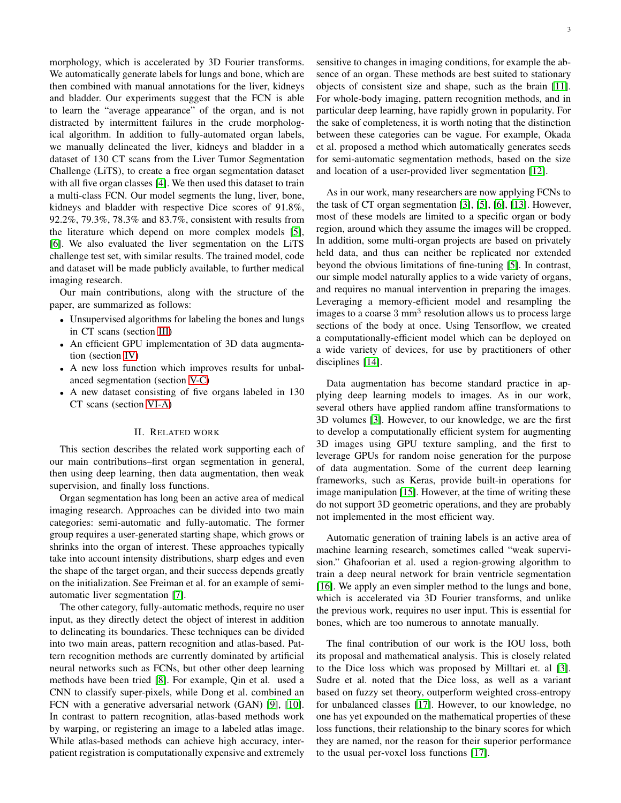morphology, which is accelerated by 3D Fourier transforms. We automatically generate labels for lungs and bone, which are then combined with manual annotations for the liver, kidneys and bladder. Our experiments suggest that the FCN is able to learn the "average appearance" of the organ, and is not distracted by intermittent failures in the crude morphological algorithm. In addition to fully-automated organ labels, we manually delineated the liver, kidneys and bladder in a dataset of 130 CT scans from the Liver Tumor Segmentation Challenge (LiTS), to create a free organ segmentation dataset with all five organ classes [\[4\]](#page-9-3). We then used this dataset to train a multi-class FCN. Our model segments the lung, liver, bone, kidneys and bladder with respective Dice scores of 91.8%, 92.2%, 79.3%, 78.3% and 83.7%, consistent with results from the literature which depend on more complex models [\[5\]](#page-9-4), [\[6\]](#page-9-5). We also evaluated the liver segmentation on the LiTS challenge test set, with similar results. The trained model, code and dataset will be made publicly available, to further medical imaging research.

Our main contributions, along with the structure of the paper, are summarized as follows:

- Unsupervised algorithms for labeling the bones and lungs in CT scans (section [III\)](#page-3-0)
- An efficient GPU implementation of 3D data augmentation (section [IV\)](#page-3-1)
- A new loss function which improves results for unbalanced segmentation (section [V-C\)](#page-6-0)
- A new dataset consisting of five organs labeled in 130 CT scans (section [VI-A\)](#page-7-0)

### II. RELATED WORK

This section describes the related work supporting each of our main contributions–first organ segmentation in general, then using deep learning, then data augmentation, then weak supervision, and finally loss functions.

Organ segmentation has long been an active area of medical imaging research. Approaches can be divided into two main categories: semi-automatic and fully-automatic. The former group requires a user-generated starting shape, which grows or shrinks into the organ of interest. These approaches typically take into account intensity distributions, sharp edges and even the shape of the target organ, and their success depends greatly on the initialization. See Freiman et al. for an example of semiautomatic liver segmentation [\[7\]](#page-9-6).

The other category, fully-automatic methods, require no user input, as they directly detect the object of interest in addition to delineating its boundaries. These techniques can be divided into two main areas, pattern recognition and atlas-based. Pattern recognition methods are currently dominated by artificial neural networks such as FCNs, but other other deep learning methods have been tried [\[8\]](#page-9-7). For example, Qin et al. used a CNN to classify super-pixels, while Dong et al. combined an FCN with a generative adversarial network (GAN) [\[9\]](#page-9-8), [\[10\]](#page-9-9). In contrast to pattern recognition, atlas-based methods work by warping, or registering an image to a labeled atlas image. While atlas-based methods can achieve high accuracy, interpatient registration is computationally expensive and extremely sensitive to changes in imaging conditions, for example the absence of an organ. These methods are best suited to stationary objects of consistent size and shape, such as the brain [\[11\]](#page-9-10). For whole-body imaging, pattern recognition methods, and in particular deep learning, have rapidly grown in popularity. For the sake of completeness, it is worth noting that the distinction between these categories can be vague. For example, Okada et al. proposed a method which automatically generates seeds for semi-automatic segmentation methods, based on the size and location of a user-provided liver segmentation [\[12\]](#page-9-11).

As in our work, many researchers are now applying FCNs to the task of CT organ segmentation [\[3\]](#page-9-2), [\[5\]](#page-9-4), [\[6\]](#page-9-5), [\[13\]](#page-9-12). However, most of these models are limited to a specific organ or body region, around which they assume the images will be cropped. In addition, some multi-organ projects are based on privately held data, and thus can neither be replicated nor extended beyond the obvious limitations of fine-tuning [\[5\]](#page-9-4). In contrast, our simple model naturally applies to a wide variety of organs, and requires no manual intervention in preparing the images. Leveraging a memory-efficient model and resampling the images to a coarse 3 mm<sup>3</sup> resolution allows us to process large sections of the body at once. Using Tensorflow, we created a computationally-efficient model which can be deployed on a wide variety of devices, for use by practitioners of other disciplines [\[14\]](#page-9-13).

Data augmentation has become standard practice in applying deep learning models to images. As in our work, several others have applied random affine transformations to 3D volumes [\[3\]](#page-9-2). However, to our knowledge, we are the first to develop a computationally efficient system for augmenting 3D images using GPU texture sampling, and the first to leverage GPUs for random noise generation for the purpose of data augmentation. Some of the current deep learning frameworks, such as Keras, provide built-in operations for image manipulation [\[15\]](#page-9-14). However, at the time of writing these do not support 3D geometric operations, and they are probably not implemented in the most efficient way.

Automatic generation of training labels is an active area of machine learning research, sometimes called "weak supervision." Ghafoorian et al. used a region-growing algorithm to train a deep neural network for brain ventricle segmentation [\[16\]](#page-9-15). We apply an even simpler method to the lungs and bone, which is accelerated via 3D Fourier transforms, and unlike the previous work, requires no user input. This is essential for bones, which are too numerous to annotate manually.

The final contribution of our work is the IOU loss, both its proposal and mathematical analysis. This is closely related to the Dice loss which was proposed by Milltari et. al [\[3\]](#page-9-2). Sudre et al. noted that the Dice loss, as well as a variant based on fuzzy set theory, outperform weighted cross-entropy for unbalanced classes [\[17\]](#page-9-16). However, to our knowledge, no one has yet expounded on the mathematical properties of these loss functions, their relationship to the binary scores for which they are named, nor the reason for their superior performance to the usual per-voxel loss functions [\[17\]](#page-9-16).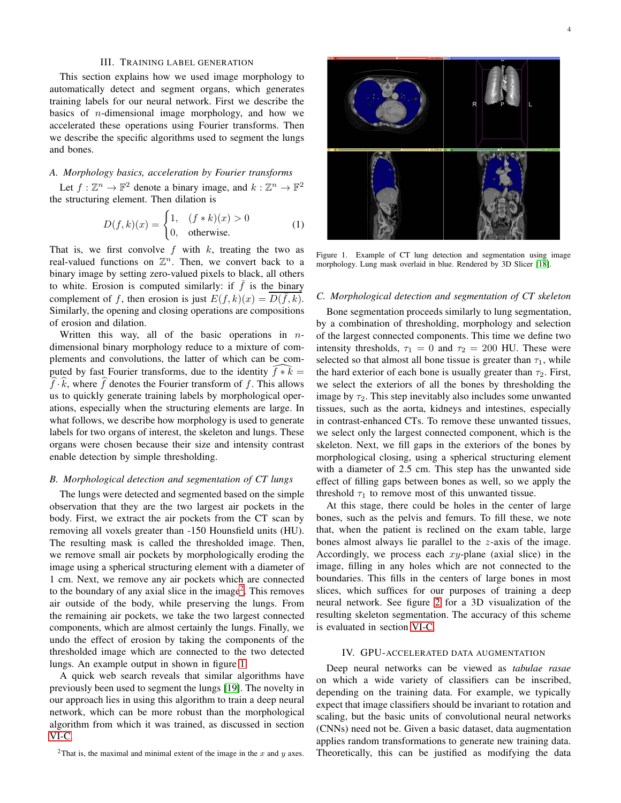## III. TRAINING LABEL GENERATION

<span id="page-3-0"></span>This section explains how we used image morphology to automatically detect and segment organs, which generates training labels for our neural network. First we describe the basics of *n*-dimensional image morphology, and how we accelerated these operations using Fourier transforms. Then we describe the specific algorithms used to segment the lungs and bones.

## *A. Morphology basics, acceleration by Fourier transforms*

Let  $f : \mathbb{Z}^n \to \mathbb{F}^2$  denote a binary image, and  $k : \mathbb{Z}^n \to \mathbb{F}^2$ the structuring element. Then dilation is

$$
D(f,k)(x) = \begin{cases} 1, & (f*k)(x) > 0 \\ 0, & \text{otherwise.} \end{cases}
$$
 (1)

That is, we first convolve  $f$  with  $k$ , treating the two as real-valued functions on  $\mathbb{Z}^n$ . Then, we convert back to a binary image by setting zero-valued pixels to black, all others to white. Erosion is computed similarly: if  $f$  is the binary complement of f, then erosion is just  $E(f, k)(x) = \overline{D(\bar{f}, k)}$ . Similarly, the opening and closing operations are compositions of erosion and dilation.

Written this way, all of the basic operations in  $n$ dimensional binary morphology reduce to a mixture of complements and convolutions, the latter of which can be computed by fast Fourier transforms, due to the identity  $f * k =$  $\widehat{f} \cdot \widehat{k}$ , where  $\widehat{f}$  denotes the Fourier transform of f. This allows us to quickly generate training labels by morphological operations, especially when the structuring elements are large. In what follows, we describe how morphology is used to generate labels for two organs of interest, the skeleton and lungs. These organs were chosen because their size and intensity contrast enable detection by simple thresholding.

## *B. Morphological detection and segmentation of CT lungs*

The lungs were detected and segmented based on the simple observation that they are the two largest air pockets in the body. First, we extract the air pockets from the CT scan by removing all voxels greater than -150 Hounsfield units (HU). The resulting mask is called the thresholded image. Then, we remove small air pockets by morphologically eroding the image using a spherical structuring element with a diameter of 1 cm. Next, we remove any air pockets which are connected to the boundary of any axial slice in the image<sup>[2](#page-3-2)</sup>. This removes air outside of the body, while preserving the lungs. From the remaining air pockets, we take the two largest connected components, which are almost certainly the lungs. Finally, we undo the effect of erosion by taking the components of the thresholded image which are connected to the two detected lungs. An example output in shown in figure [1.](#page-3-3)

A quick web search reveals that similar algorithms have previously been used to segment the lungs [\[19\]](#page-9-17). The novelty in our approach lies in using this algorithm to train a deep neural network, which can be more robust than the morphological algorithm from which it was trained, as discussed in section [VI-C.](#page-8-0)

<span id="page-3-2"></span><sup>2</sup>That is, the maximal and minimal extent of the image in the  $x$  and  $y$  axes.



<span id="page-3-3"></span>Figure 1. Example of CT lung detection and segmentation using image morphology. Lung mask overlaid in blue. Rendered by 3D Slicer [\[18\]](#page-9-18).

## *C. Morphological detection and segmentation of CT skeleton*

Bone segmentation proceeds similarly to lung segmentation, by a combination of thresholding, morphology and selection of the largest connected components. This time we define two intensity thresholds,  $\tau_1 = 0$  and  $\tau_2 = 200$  HU. These were selected so that almost all bone tissue is greater than  $\tau_1$ , while the hard exterior of each bone is usually greater than  $\tau_2$ . First, we select the exteriors of all the bones by thresholding the image by  $\tau_2$ . This step inevitably also includes some unwanted tissues, such as the aorta, kidneys and intestines, especially in contrast-enhanced CTs. To remove these unwanted tissues, we select only the largest connected component, which is the skeleton. Next, we fill gaps in the exteriors of the bones by morphological closing, using a spherical structuring element with a diameter of 2.5 cm. This step has the unwanted side effect of filling gaps between bones as well, so we apply the threshold  $\tau_1$  to remove most of this unwanted tissue.

At this stage, there could be holes in the center of large bones, such as the pelvis and femurs. To fill these, we note that, when the patient is reclined on the exam table, large bones almost always lie parallel to the z-axis of the image. Accordingly, we process each  $xy$ -plane (axial slice) in the image, filling in any holes which are not connected to the boundaries. This fills in the centers of large bones in most slices, which suffices for our purposes of training a deep neural network. See figure [2](#page-4-0) for a 3D visualization of the resulting skeleton segmentation. The accuracy of this scheme is evaluated in section [VI-C.](#page-8-0)

## <span id="page-3-1"></span>IV. GPU-ACCELERATED DATA AUGMENTATION

Deep neural networks can be viewed as *tabulae rasae* on which a wide variety of classifiers can be inscribed, depending on the training data. For example, we typically expect that image classifiers should be invariant to rotation and scaling, but the basic units of convolutional neural networks (CNNs) need not be. Given a basic dataset, data augmentation applies random transformations to generate new training data. Theoretically, this can be justified as modifying the data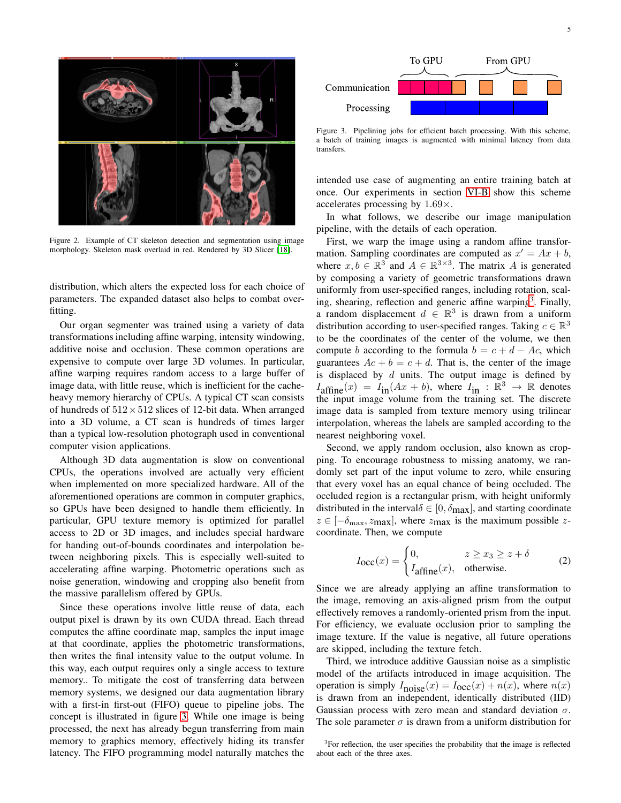

Figure 2. Example of CT skeleton detection and segmentation using image morphology. Skeleton mask overlaid in red. Rendered by 3D Slicer [\[18\]](#page-9-18).

<span id="page-4-0"></span>distribution, which alters the expected loss for each choice of parameters. The expanded dataset also helps to combat overfitting.

Our organ segmenter was trained using a variety of data transformations including affine warping, intensity windowing, additive noise and occlusion. These common operations are expensive to compute over large 3D volumes. In particular, affine warping requires random access to a large buffer of image data, with little reuse, which is inefficient for the cacheheavy memory hierarchy of CPUs. A typical CT scan consists of hundreds of  $512 \times 512$  slices of 12-bit data. When arranged into a 3D volume, a CT scan is hundreds of times larger than a typical low-resolution photograph used in conventional computer vision applications.

Although 3D data augmentation is slow on conventional CPUs, the operations involved are actually very efficient when implemented on more specialized hardware. All of the aforementioned operations are common in computer graphics, so GPUs have been designed to handle them efficiently. In particular, GPU texture memory is optimized for parallel access to 2D or 3D images, and includes special hardware for handing out-of-bounds coordinates and interpolation between neighboring pixels. This is especially well-suited to accelerating affine warping. Photometric operations such as noise generation, windowing and cropping also benefit from the massive parallelism offered by GPUs.

Since these operations involve little reuse of data, each output pixel is drawn by its own CUDA thread. Each thread computes the affine coordinate map, samples the input image at that coordinate, applies the photometric transformations, then writes the final intensity value to the output volume. In this way, each output requires only a single access to texture memory.. To mitigate the cost of transferring data between memory systems, we designed our data augmentation library with a first-in first-out (FIFO) queue to pipeline jobs. The concept is illustrated in figure [3.](#page-4-1) While one image is being processed, the next has already begun transferring from main memory to graphics memory, effectively hiding its transfer latency. The FIFO programming model naturally matches the



<span id="page-4-1"></span>Figure 3. Pipelining jobs for efficient batch processing. With this scheme, a batch of training images is augmented with minimal latency from data transfers.

intended use case of augmenting an entire training batch at once. Our experiments in section [VI-B](#page-7-1) show this scheme accelerates processing by 1.69×.

In what follows, we describe our image manipulation pipeline, with the details of each operation.

First, we warp the image using a random affine transformation. Sampling coordinates are computed as  $x' = Ax + b$ , where  $x, b \in \mathbb{R}^3$  and  $A \in \mathbb{R}^{3 \times 3}$ . The matrix A is generated by composing a variety of geometric transformations drawn uniformly from user-specified ranges, including rotation, scal-ing, shearing, reflection and generic affine warping<sup>[3](#page-4-2)</sup>. Finally, a random displacement  $d \in \mathbb{R}^3$  is drawn from a uniform distribution according to user-specified ranges. Taking  $c \in \mathbb{R}^3$ to be the coordinates of the center of the volume, we then compute b according to the formula  $b = c + d - Ac$ , which guarantees  $Ac + b = c + d$ . That is, the center of the image is displaced by  $d$  units. The output image is defined by  $I_{\text{affine}}(x) = I_{\text{in}}(Ax + b)$ , where  $I_{\text{in}} : \mathbb{R}^3 \to \mathbb{R}$  denotes the input image volume from the training set. The discrete image data is sampled from texture memory using trilinear interpolation, whereas the labels are sampled according to the nearest neighboring voxel.

Second, we apply random occlusion, also known as cropping. To encourage robustness to missing anatomy, we randomly set part of the input volume to zero, while ensuring that every voxel has an equal chance of being occluded. The occluded region is a rectangular prism, with height uniformly distributed in the interval $\delta \in [0, \delta_{\text{max}}]$ , and starting coordinate  $z \in [-\delta_{\max}, z_{\max}]$ , where  $z_{\max}$  is the maximum possible zcoordinate. Then, we compute

$$
I_{\text{OCC}}(x) = \begin{cases} 0, & z \ge x_3 \ge z + \delta \\ I_{\text{affine}}(x), & \text{otherwise.} \end{cases} \tag{2}
$$

Since we are already applying an affine transformation to the image, removing an axis-aligned prism from the output effectively removes a randomly-oriented prism from the input. For efficiency, we evaluate occlusion prior to sampling the image texture. If the value is negative, all future operations are skipped, including the texture fetch.

Third, we introduce additive Gaussian noise as a simplistic model of the artifacts introduced in image acquisition. The operation is simply  $I_{noise}(x) = I_{0cc}(x) + n(x)$ , where  $n(x)$ is drawn from an independent, identically distributed (IID) Gaussian process with zero mean and standard deviation  $\sigma$ . The sole parameter  $\sigma$  is drawn from a uniform distribution for

<span id="page-4-2"></span><sup>&</sup>lt;sup>3</sup>For reflection, the user specifies the probability that the image is reflected about each of the three axes.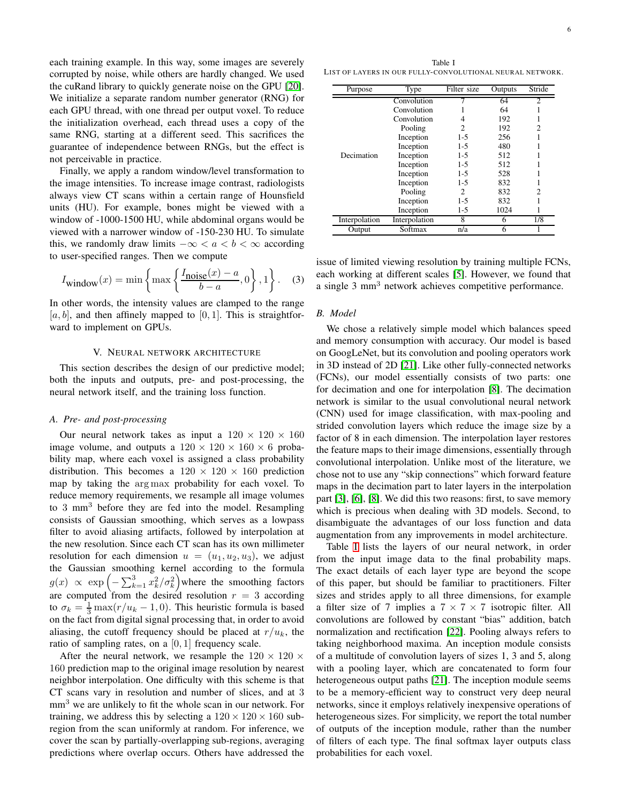each training example. In this way, some images are severely corrupted by noise, while others are hardly changed. We used the cuRand library to quickly generate noise on the GPU [\[20\]](#page-9-19). We initialize a separate random number generator (RNG) for each GPU thread, with one thread per output voxel. To reduce the initialization overhead, each thread uses a copy of the same RNG, starting at a different seed. This sacrifices the guarantee of independence between RNGs, but the effect is not perceivable in practice.

Finally, we apply a random window/level transformation to the image intensities. To increase image contrast, radiologists always view CT scans within a certain range of Hounsfield units (HU). For example, bones might be viewed with a window of -1000-1500 HU, while abdominal organs would be viewed with a narrower window of -150-230 HU. To simulate this, we randomly draw limits  $-\infty < a < b < \infty$  according to user-specified ranges. Then we compute

$$
I_{\text{window}}(x) = \min\left\{\max\left\{\frac{I_{\text{noise}}(x) - a}{b - a}, 0\right\}, 1\right\}.
$$
 (3)

In other words, the intensity values are clamped to the range  $[a, b]$ , and then affinely mapped to  $[0, 1]$ . This is straightforward to implement on GPUs.

#### V. NEURAL NETWORK ARCHITECTURE

This section describes the design of our predictive model; both the inputs and outputs, pre- and post-processing, the neural network itself, and the training loss function.

#### *A. Pre- and post-processing*

Our neural network takes as input a  $120 \times 120 \times 160$ image volume, and outputs a  $120 \times 120 \times 160 \times 6$  probability map, where each voxel is assigned a class probability distribution. This becomes a  $120 \times 120 \times 160$  prediction map by taking the arg max probability for each voxel. To reduce memory requirements, we resample all image volumes to 3 mm<sup>3</sup> before they are fed into the model. Resampling consists of Gaussian smoothing, which serves as a lowpass filter to avoid aliasing artifacts, followed by interpolation at the new resolution. Since each CT scan has its own millimeter resolution for each dimension  $u = (u_1, u_2, u_3)$ , we adjust the Gaussian smoothing kernel according to the formula  $g(x) \propto \exp\left(-\sum_{k=1}^3 x_k^2/\sigma_k^2\right)$  where the smoothing factors are computed from the desired resolution  $r = 3$  according to  $\sigma_k = \frac{1}{3} \max(r/u_k - 1, 0)$ . This heuristic formula is based on the fact from digital signal processing that, in order to avoid aliasing, the cutoff frequency should be placed at  $r/u_k$ , the ratio of sampling rates, on a  $[0, 1]$  frequency scale.

After the neural network, we resample the  $120 \times 120 \times$ 160 prediction map to the original image resolution by nearest neighbor interpolation. One difficulty with this scheme is that CT scans vary in resolution and number of slices, and at 3 mm<sup>3</sup> we are unlikely to fit the whole scan in our network. For training, we address this by selecting a  $120 \times 120 \times 160$  subregion from the scan uniformly at random. For inference, we cover the scan by partially-overlapping sub-regions, averaging predictions where overlap occurs. Others have addressed the

<span id="page-5-0"></span>Table I LIST OF LAYERS IN OUR FULLY-CONVOLUTIONAL NEURAL NETWORK.

| Purpose       | Type          | Filter size  | Outputs | Stride         |
|---------------|---------------|--------------|---------|----------------|
| Decimation    | Convolution   |              | 64      | $\mathfrak{D}$ |
|               | Convolution   |              | 64      |                |
|               | Convolution   | 4            |         |                |
|               | Pooling       | 192<br>2     |         | 2              |
|               | Inception     | 1-5          |         |                |
|               | Inception     | 480<br>$1-5$ |         |                |
|               | Inception     | $1-5$        | 512     |                |
|               | Inception     | $1-5$        | 512     |                |
|               | Inception     | $1-5$        | 528     |                |
|               | Inception     | $1-5$        | 832     |                |
|               | Pooling       | 2            | 832     | 2              |
|               | Inception     | $1-5$        | 832     |                |
|               | Inception     | $1-5$        | 1024    |                |
| Interpolation | Interpolation | 8            | 6       | 1/8            |
| Output        | Softmax       | n/a          | 6       |                |

issue of limited viewing resolution by training multiple FCNs, each working at different scales [\[5\]](#page-9-4). However, we found that a single 3 mm<sup>3</sup> network achieves competitive performance.

## *B. Model*

We chose a relatively simple model which balances speed and memory consumption with accuracy. Our model is based on GoogLeNet, but its convolution and pooling operators work in 3D instead of 2D [\[21\]](#page-9-20). Like other fully-connected networks (FCNs), our model essentially consists of two parts: one for decimation and one for interpolation [\[8\]](#page-9-7). The decimation network is similar to the usual convolutional neural network (CNN) used for image classification, with max-pooling and strided convolution layers which reduce the image size by a factor of 8 in each dimension. The interpolation layer restores the feature maps to their image dimensions, essentially through convolutional interpolation. Unlike most of the literature, we chose not to use any "skip connections" which forward feature maps in the decimation part to later layers in the interpolation part [\[3\]](#page-9-2), [\[6\]](#page-9-5), [\[8\]](#page-9-7). We did this two reasons: first, to save memory which is precious when dealing with 3D models. Second, to disambiguate the advantages of our loss function and data augmentation from any improvements in model architecture.

Table [I](#page-5-0) lists the layers of our neural network, in order from the input image data to the final probability maps. The exact details of each layer type are beyond the scope of this paper, but should be familiar to practitioners. Filter sizes and strides apply to all three dimensions, for example a filter size of 7 implies a  $7 \times 7 \times 7$  isotropic filter. All convolutions are followed by constant "bias" addition, batch normalization and rectification [\[22\]](#page-9-21). Pooling always refers to taking neighborhood maxima. An inception module consists of a multitude of convolution layers of sizes 1, 3 and 5, along with a pooling layer, which are concatenated to form four heterogeneous output paths [\[21\]](#page-9-20). The inception module seems to be a memory-efficient way to construct very deep neural networks, since it employs relatively inexpensive operations of heterogeneous sizes. For simplicity, we report the total number of outputs of the inception module, rather than the number of filters of each type. The final softmax layer outputs class probabilities for each voxel.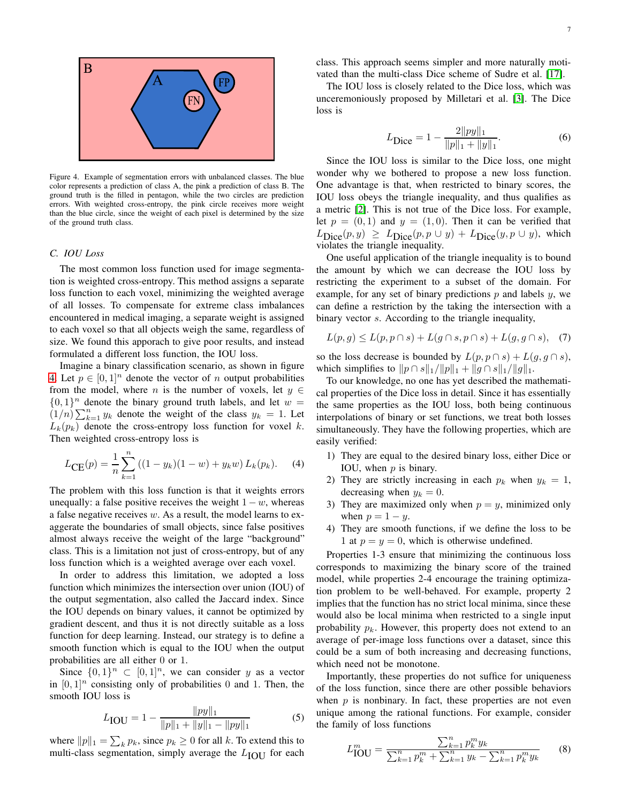

<span id="page-6-1"></span>Figure 4. Example of segmentation errors with unbalanced classes. The blue color represents a prediction of class A, the pink a prediction of class B. The ground truth is the filled in pentagon, while the two circles are prediction errors. With weighted cross-entropy, the pink circle receives more weight than the blue circle, since the weight of each pixel is determined by the size of the ground truth class.

## <span id="page-6-0"></span>*C. IOU Loss*

The most common loss function used for image segmentation is weighted cross-entropy. This method assigns a separate loss function to each voxel, minimizing the weighted average of all losses. To compensate for extreme class imbalances encountered in medical imaging, a separate weight is assigned to each voxel so that all objects weigh the same, regardless of size. We found this apporach to give poor results, and instead formulated a different loss function, the IOU loss.

Imagine a binary classification scenario, as shown in figure [4.](#page-6-1) Let  $p \in [0,1]^n$  denote the vector of n output probabilities from the model, where *n* is the number of voxels, let  $y \in$  $\{0, 1\}^n$  denote the binary ground truth labels, and let  $w =$  $(1/n)\sum_{k=1}^n y_k$  denote the weight of the class  $y_k = 1$ . Let  $L_k(p_k)$  denote the cross-entropy loss function for voxel k. Then weighted cross-entropy loss is

$$
L_{\text{CE}}(p) = \frac{1}{n} \sum_{k=1}^{n} ((1 - y_k)(1 - w) + y_k w) L_k(p_k).
$$
 (4)

The problem with this loss function is that it weights errors unequally: a false positive receives the weight  $1 - w$ , whereas a false negative receives  $w$ . As a result, the model learns to exaggerate the boundaries of small objects, since false positives almost always receive the weight of the large "background" class. This is a limitation not just of cross-entropy, but of any loss function which is a weighted average over each voxel.

In order to address this limitation, we adopted a loss function which minimizes the intersection over union (IOU) of the output segmentation, also called the Jaccard index. Since the IOU depends on binary values, it cannot be optimized by gradient descent, and thus it is not directly suitable as a loss function for deep learning. Instead, our strategy is to define a smooth function which is equal to the IOU when the output probabilities are all either 0 or 1.

Since  $\{0,1\}^n \subset [0,1]^n$ , we can consider y as a vector in  $[0, 1]^n$  consisting only of probabilities 0 and 1. Then, the smooth IOU loss is

$$
L_{\text{IOU}} = 1 - \frac{\|py\|_1}{\|p\|_1 + \|y\|_1 - \|py\|_1} \tag{5}
$$

where  $||p||_1 = \sum_k p_k$ , since  $p_k \ge 0$  for all k. To extend this to multi-class segmentation, simply average the  $L_{\text{IOU}}$  for each class. This approach seems simpler and more naturally motivated than the multi-class Dice scheme of Sudre et al. [\[17\]](#page-9-16).

The IOU loss is closely related to the Dice loss, which was unceremoniously proposed by Milletari et al. [\[3\]](#page-9-2). The Dice loss is

$$
L_{\text{Dice}} = 1 - \frac{2||py||_1}{||p||_1 + ||y||_1}.
$$
 (6)

Since the IOU loss is similar to the Dice loss, one might wonder why we bothered to propose a new loss function. One advantage is that, when restricted to binary scores, the IOU loss obeys the triangle inequality, and thus qualifies as a metric [\[2\]](#page-9-1). This is not true of the Dice loss. For example, let  $p = (0, 1)$  and  $y = (1, 0)$ . Then it can be verified that  $L_{\text{Dice}}(p, y) \geq L_{\text{Dice}}(p, p \cup y) + L_{\text{Dice}}(y, p \cup y)$ , which violates the triangle inequality.

One useful application of the triangle inequality is to bound the amount by which we can decrease the IOU loss by restricting the experiment to a subset of the domain. For example, for any set of binary predictions  $p$  and labels  $y$ , we can define a restriction by the taking the intersection with a binary vector s. According to the triangle inequality,

$$
L(p,g) \le L(p,p \cap s) + L(g \cap s, p \cap s) + L(g,g \cap s), \quad (7)
$$

so the loss decrease is bounded by  $L(p, p \cap s) + L(g, g \cap s)$ , which simplifies to  $||p \cap s||_1/||p||_1 + ||g \cap s||_1/||g||_1$ .

To our knowledge, no one has yet described the mathematical properties of the Dice loss in detail. Since it has essentially the same properties as the IOU loss, both being continuous interpolations of binary or set functions, we treat both losses simultaneously. They have the following properties, which are easily verified:

- 1) They are equal to the desired binary loss, either Dice or IOU, when  $p$  is binary.
- 2) They are strictly increasing in each  $p_k$  when  $y_k = 1$ , decreasing when  $y_k = 0$ .
- 3) They are maximized only when  $p = y$ , minimized only when  $p = 1 - y$ .
- 4) They are smooth functions, if we define the loss to be 1 at  $p = y = 0$ , which is otherwise undefined.

Properties 1-3 ensure that minimizing the continuous loss corresponds to maximizing the binary score of the trained model, while properties 2-4 encourage the training optimization problem to be well-behaved. For example, property 2 implies that the function has no strict local minima, since these would also be local minima when restricted to a single input probability  $p_k$ . However, this property does not extend to an average of per-image loss functions over a dataset, since this could be a sum of both increasing and decreasing functions, which need not be monotone.

Importantly, these properties do not suffice for uniqueness of the loss function, since there are other possible behaviors when  $p$  is nonbinary. In fact, these properties are not even unique among the rational functions. For example, consider the family of loss functions

$$
L_{\text{IOU}}^m = \frac{\sum_{k=1}^n p_k^m y_k}{\sum_{k=1}^n p_k^m + \sum_{k=1}^n y_k - \sum_{k=1}^n p_k^m y_k}
$$
(8)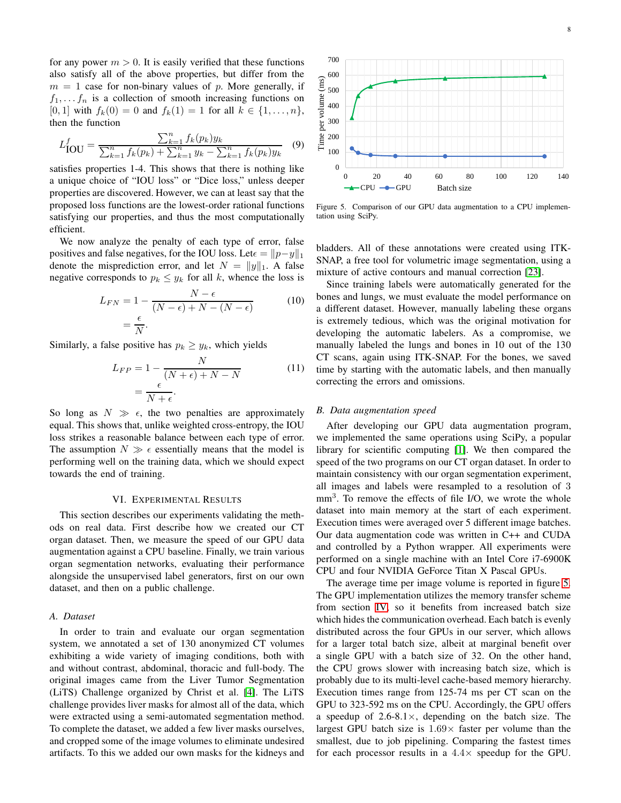for any power  $m > 0$ . It is easily verified that these functions also satisfy all of the above properties, but differ from the  $m = 1$  case for non-binary values of p. More generally, if  $f_1, \ldots, f_n$  is a collection of smooth increasing functions on [0, 1] with  $f_k(0) = 0$  and  $f_k(1) = 1$  for all  $k \in \{1, ..., n\}$ , then the function

$$
L_{\text{IOU}}^f = \frac{\sum_{k=1}^n f_k(p_k) y_k}{\sum_{k=1}^n f_k(p_k) + \sum_{k=1}^n y_k - \sum_{k=1}^n f_k(p_k) y_k} \quad (9)
$$

satisfies properties 1-4. This shows that there is nothing like a unique choice of "IOU loss" or "Dice loss," unless deeper properties are discovered. However, we can at least say that the proposed loss functions are the lowest-order rational functions satisfying our properties, and thus the most computationally efficient.

We now analyze the penalty of each type of error, false positives and false negatives, for the IOU loss. Let $\epsilon = ||p-y||_1$ denote the misprediction error, and let  $N = ||y||_1$ . A false negative corresponds to  $p_k \leq y_k$  for all k, whence the loss is

$$
L_{FN} = 1 - \frac{N - \epsilon}{(N - \epsilon) + N - (N - \epsilon)} \tag{10}
$$

$$
= \frac{\epsilon}{N}.
$$

Similarly, a false positive has  $p_k \geq y_k$ , which yields

$$
L_{FP} = 1 - \frac{N}{(N + \epsilon) + N - N}
$$
  
=  $\frac{\epsilon}{N + \epsilon}$ . (11)

So long as  $N \gg \epsilon$ , the two penalties are approximately equal. This shows that, unlike weighted cross-entropy, the IOU loss strikes a reasonable balance between each type of error. The assumption  $N \gg \epsilon$  essentially means that the model is performing well on the training data, which we should expect towards the end of training.

## VI. EXPERIMENTAL RESULTS

This section describes our experiments validating the methods on real data. First describe how we created our CT organ dataset. Then, we measure the speed of our GPU data augmentation against a CPU baseline. Finally, we train various organ segmentation networks, evaluating their performance alongside the unsupervised label generators, first on our own dataset, and then on a public challenge.

## <span id="page-7-0"></span>*A. Dataset*

In order to train and evaluate our organ segmentation system, we annotated a set of 130 anonymized CT volumes exhibiting a wide variety of imaging conditions, both with and without contrast, abdominal, thoracic and full-body. The original images came from the Liver Tumor Segmentation (LiTS) Challenge organized by Christ et al. [\[4\]](#page-9-3). The LiTS challenge provides liver masks for almost all of the data, which were extracted using a semi-automated segmentation method. To complete the dataset, we added a few liver masks ourselves, and cropped some of the image volumes to eliminate undesired artifacts. To this we added our own masks for the kidneys and



<span id="page-7-2"></span>Figure 5. Comparison of our GPU data augmentation to a CPU implementation using SciPy.

bladders. All of these annotations were created using ITK-SNAP, a free tool for volumetric image segmentation, using a mixture of active contours and manual correction [\[23\]](#page-10-0).

Since training labels were automatically generated for the bones and lungs, we must evaluate the model performance on a different dataset. However, manually labeling these organs is extremely tedious, which was the original motivation for developing the automatic labelers. As a compromise, we manually labeled the lungs and bones in 10 out of the 130 CT scans, again using ITK-SNAP. For the bones, we saved time by starting with the automatic labels, and then manually correcting the errors and omissions.

## <span id="page-7-1"></span>*B. Data augmentation speed*

After developing our GPU data augmentation program, we implemented the same operations using SciPy, a popular library for scientific computing [\[1\]](#page-9-0). We then compared the speed of the two programs on our CT organ dataset. In order to maintain consistency with our organ segmentation experiment, all images and labels were resampled to a resolution of 3 mm<sup>3</sup>. To remove the effects of file I/O, we wrote the whole dataset into main memory at the start of each experiment. Execution times were averaged over 5 different image batches. Our data augmentation code was written in C++ and CUDA and controlled by a Python wrapper. All experiments were performed on a single machine with an Intel Core i7-6900K CPU and four NVIDIA GeForce Titan X Pascal GPUs.

The average time per image volume is reported in figure [5.](#page-7-2) The GPU implementation utilizes the memory transfer scheme from section [IV,](#page-3-1) so it benefits from increased batch size which hides the communication overhead. Each batch is evenly distributed across the four GPUs in our server, which allows for a larger total batch size, albeit at marginal benefit over a single GPU with a batch size of 32. On the other hand, the CPU grows slower with increasing batch size, which is probably due to its multi-level cache-based memory hierarchy. Execution times range from 125-74 ms per CT scan on the GPU to 323-592 ms on the CPU. Accordingly, the GPU offers a speedup of  $2.6-8.1 \times$ , depending on the batch size. The largest GPU batch size is  $1.69\times$  faster per volume than the smallest, due to job pipelining. Comparing the fastest times for each processor results in a  $4.4\times$  speedup for the GPU.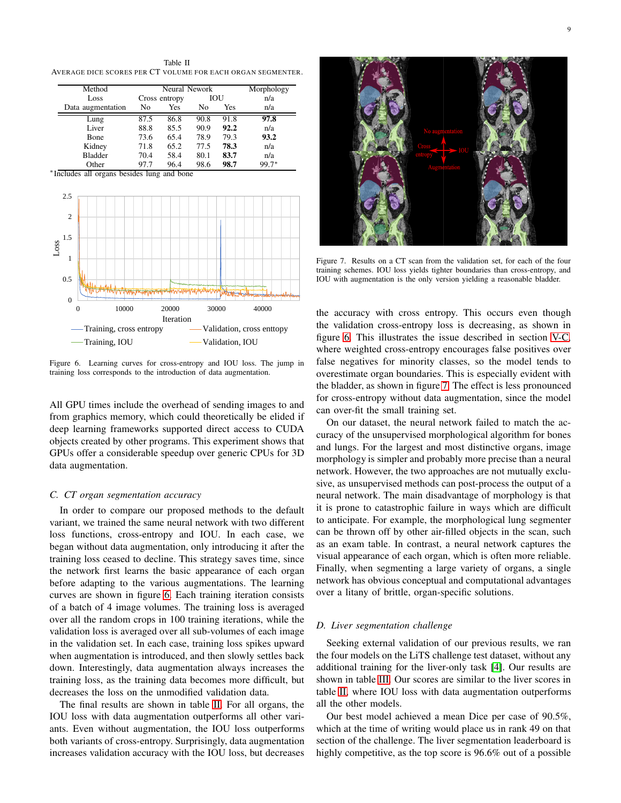<span id="page-8-2"></span>Table II AVERAGE DICE SCORES PER CT VOLUME FOR EACH ORGAN SEGMENTER.

| Method            | Neural Nework |      |      |      | Morphology |
|-------------------|---------------|------|------|------|------------|
| Loss              | Cross entropy |      | IOU  |      | n/a        |
| Data augmentation | No            | Yes  | No   | Yes  | n/a        |
| Lung              | 87.5          | 86.8 | 90.8 | 91.8 | 97.8       |
| Liver             | 88.8          | 85.5 | 90.9 | 92.2 | n/a        |
| <b>Bone</b>       | 73.6          | 65.4 | 78.9 | 79.3 | 93.2       |
| Kidney            | 71.8          | 65.2 | 77.5 | 78.3 | n/a        |
| <b>Bladder</b>    | 70.4          | 58.4 | 80.1 | 83.7 | n/a        |
| Other             | 97.7          | 96.4 | 98.6 | 98.7 | 99.7*      |

<sup>∗</sup>Includes all organs besides lung and bone



<span id="page-8-1"></span>Figure 6. Learning curves for cross-entropy and IOU loss. The jump in training loss corresponds to the introduction of data augmentation.

All GPU times include the overhead of sending images to and from graphics memory, which could theoretically be elided if deep learning frameworks supported direct access to CUDA objects created by other programs. This experiment shows that GPUs offer a considerable speedup over generic CPUs for 3D data augmentation.

## <span id="page-8-0"></span>*C. CT organ segmentation accuracy*

In order to compare our proposed methods to the default variant, we trained the same neural network with two different loss functions, cross-entropy and IOU. In each case, we began without data augmentation, only introducing it after the training loss ceased to decline. This strategy saves time, since the network first learns the basic appearance of each organ before adapting to the various augmentations. The learning curves are shown in figure [6.](#page-8-1) Each training iteration consists of a batch of 4 image volumes. The training loss is averaged over all the random crops in 100 training iterations, while the validation loss is averaged over all sub-volumes of each image in the validation set. In each case, training loss spikes upward when augmentation is introduced, and then slowly settles back down. Interestingly, data augmentation always increases the training loss, as the training data becomes more difficult, but decreases the loss on the unmodified validation data.

The final results are shown in table [II.](#page-8-2) For all organs, the IOU loss with data augmentation outperforms all other variants. Even without augmentation, the IOU loss outperforms both variants of cross-entropy. Surprisingly, data augmentation increases validation accuracy with the IOU loss, but decreases



Figure 7. Results on a CT scan from the validation set, for each of the four training schemes. IOU loss yields tighter boundaries than cross-entropy, and IOU with augmentation is the only version yielding a reasonable bladder.

<span id="page-8-3"></span>the accuracy with cross entropy. This occurs even though the validation cross-entropy loss is decreasing, as shown in figure [6.](#page-8-1) This illustrates the issue described in section [V-C,](#page-6-0) where weighted cross-entropy encourages false positives over false negatives for minority classes, so the model tends to overestimate organ boundaries. This is especially evident with the bladder, as shown in figure [7.](#page-8-3) The effect is less pronounced for cross-entropy without data augmentation, since the model can over-fit the small training set.

On our dataset, the neural network failed to match the accuracy of the unsupervised morphological algorithm for bones and lungs. For the largest and most distinctive organs, image morphology is simpler and probably more precise than a neural network. However, the two approaches are not mutually exclusive, as unsupervised methods can post-process the output of a neural network. The main disadvantage of morphology is that it is prone to catastrophic failure in ways which are difficult to anticipate. For example, the morphological lung segmenter can be thrown off by other air-filled objects in the scan, such as an exam table. In contrast, a neural network captures the visual appearance of each organ, which is often more reliable. Finally, when segmenting a large variety of organs, a single network has obvious conceptual and computational advantages over a litany of brittle, organ-specific solutions.

#### *D. Liver segmentation challenge*

Seeking external validation of our previous results, we ran the four models on the LiTS challenge test dataset, without any additional training for the liver-only task [\[4\]](#page-9-3). Our results are shown in table [III.](#page-9-22) Our scores are similar to the liver scores in table [II,](#page-8-2) where IOU loss with data augmentation outperforms all the other models.

Our best model achieved a mean Dice per case of 90.5%, which at the time of writing would place us in rank 49 on that section of the challenge. The liver segmentation leaderboard is highly competitive, as the top score is 96.6% out of a possible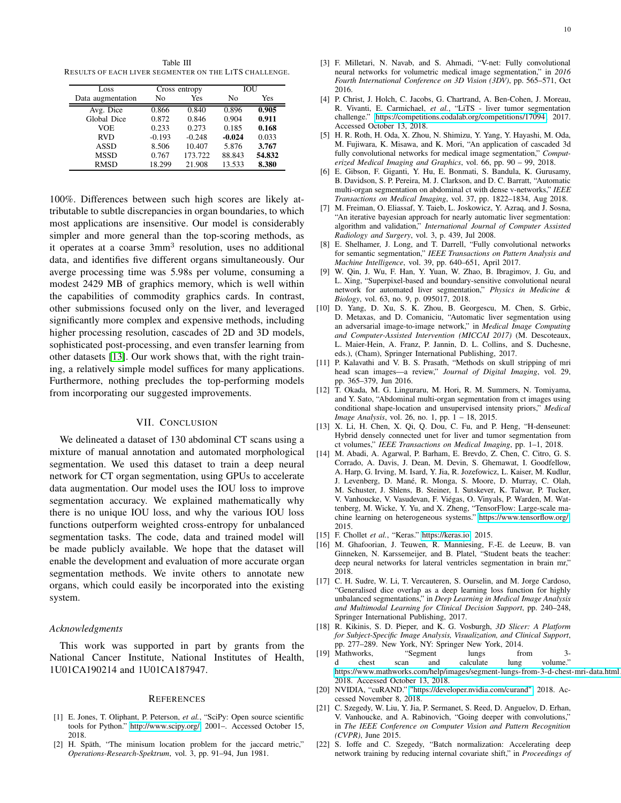<span id="page-9-22"></span>Table III RESULTS OF EACH LIVER SEGMENTER ON THE LITS CHALLENGE.

| Loss              | Cross entropy |          | IOU      |        |
|-------------------|---------------|----------|----------|--------|
| Data augmentation | No            | Yes      | No       | Yes    |
| Avg. Dice         | 0.866         | 0.840    | 0.896    | 0.905  |
| Global Dice       | 0.872         | 0.846    | 0.904    | 0.911  |
| <b>VOE</b>        | 0.233         | 0.273    | 0.185    | 0.168  |
| <b>RVD</b>        | $-0.193$      | $-0.248$ | $-0.024$ | 0.033  |
| <b>ASSD</b>       | 8.506         | 10.407   | 5.876    | 3.767  |
| <b>MSSD</b>       | 0.767         | 173.722  | 88.843   | 54.832 |
| <b>RMSD</b>       | 18.299        | 21.908   | 13.533   | 8.380  |

100%. Differences between such high scores are likely attributable to subtle discrepancies in organ boundaries, to which most applications are insensitive. Our model is considerably simpler and more general than the top-scoring methods, as it operates at a coarse 3mm<sup>3</sup> resolution, uses no additional data, and identifies five different organs simultaneously. Our averge processing time was 5.98s per volume, consuming a modest 2429 MB of graphics memory, which is well within the capabilities of commodity graphics cards. In contrast, other submissions focused only on the liver, and leveraged significantly more complex and expensive methods, including higher processing resolution, cascades of 2D and 3D models, sophisticated post-processing, and even transfer learning from other datasets [\[13\]](#page-9-12). Our work shows that, with the right training, a relatively simple model suffices for many applications. Furthermore, nothing precludes the top-performing models from incorporating our suggested improvements.

## VII. CONCLUSION

We delineated a dataset of 130 abdominal CT scans using a mixture of manual annotation and automated morphological segmentation. We used this dataset to train a deep neural network for CT organ segmentation, using GPUs to accelerate data augmentation. Our model uses the IOU loss to improve segmentation accuracy. We explained mathematically why there is no unique IOU loss, and why the various IOU loss functions outperform weighted cross-entropy for unbalanced segmentation tasks. The code, data and trained model will be made publicly available. We hope that the dataset will enable the development and evaluation of more accurate organ segmentation methods. We invite others to annotate new organs, which could easily be incorporated into the existing system.

## *Acknowledgments*

This work was supported in part by grants from the National Cancer Institute, National Institutes of Health, 1U01CA190214 and 1U01CA187947.

#### **REFERENCES**

- <span id="page-9-0"></span>[1] E. Jones, T. Oliphant, P. Peterson, *et al.*, "SciPy: Open source scientific tools for Python." [http://www.scipy.org/,](http://www.scipy.org/) 2001–. Accessed October 15, 2018.
- <span id="page-9-1"></span>[2] H. Späth, "The minisum location problem for the jaccard metric," *Operations-Research-Spektrum*, vol. 3, pp. 91–94, Jun 1981.
- <span id="page-9-2"></span>[3] F. Milletari, N. Navab, and S. Ahmadi, "V-net: Fully convolutional neural networks for volumetric medical image segmentation," in *2016 Fourth International Conference on 3D Vision (3DV)*, pp. 565–571, Oct 2016.
- <span id="page-9-3"></span>[4] P. Christ, J. Holch, C. Jacobs, G. Chartrand, A. Ben-Cohen, J. Moreau, R. Vivanti, E. Carmichael, *et al.*, "LiTS - liver tumor segmentation challenge." [https://competitions.codalab.org/competitions/17094,](https://competitions.codalab.org/competitions/17094) 2017. Accessed October 13, 2018.
- <span id="page-9-4"></span>[5] H. R. Roth, H. Oda, X. Zhou, N. Shimizu, Y. Yang, Y. Hayashi, M. Oda, M. Fujiwara, K. Misawa, and K. Mori, "An application of cascaded 3d fully convolutional networks for medical image segmentation," *Computerized Medical Imaging and Graphics*, vol. 66, pp. 90 – 99, 2018.
- <span id="page-9-5"></span>[6] E. Gibson, F. Giganti, Y. Hu, E. Bonmati, S. Bandula, K. Gurusamy, B. Davidson, S. P. Pereira, M. J. Clarkson, and D. C. Barratt, "Automatic multi-organ segmentation on abdominal ct with dense v-networks," *IEEE Transactions on Medical Imaging*, vol. 37, pp. 1822–1834, Aug 2018.
- <span id="page-9-6"></span>[7] M. Freiman, O. Eliassaf, Y. Taieb, L. Joskowicz, Y. Azraq, and J. Sosna, "An iterative bayesian approach for nearly automatic liver segmentation: algorithm and validation," *International Journal of Computer Assisted Radiology and Surgery*, vol. 3, p. 439, Jul 2008.
- <span id="page-9-7"></span>[8] E. Shelhamer, J. Long, and T. Darrell, "Fully convolutional networks for semantic segmentation," *IEEE Transactions on Pattern Analysis and Machine Intelligence*, vol. 39, pp. 640–651, April 2017.
- <span id="page-9-8"></span>[9] W. Qin, J. Wu, F. Han, Y. Yuan, W. Zhao, B. Ibragimov, J. Gu, and L. Xing, "Superpixel-based and boundary-sensitive convolutional neural network for automated liver segmentation," *Physics in Medicine & Biology*, vol. 63, no. 9, p. 095017, 2018.
- <span id="page-9-9"></span>[10] D. Yang, D. Xu, S. K. Zhou, B. Georgescu, M. Chen, S. Grbic, D. Metaxas, and D. Comaniciu, "Automatic liver segmentation using an adversarial image-to-image network," in *Medical Image Computing and Computer-Assisted Intervention (MICCAI 2017)* (M. Descoteaux, L. Maier-Hein, A. Franz, P. Jannin, D. L. Collins, and S. Duchesne, eds.), (Cham), Springer International Publishing, 2017.
- <span id="page-9-10"></span>[11] P. Kalavathi and V. B. S. Prasath, "Methods on skull stripping of mri head scan images—a review," *Journal of Digital Imaging*, vol. 29, pp. 365–379, Jun 2016.
- <span id="page-9-11"></span>[12] T. Okada, M. G. Linguraru, M. Hori, R. M. Summers, N. Tomiyama, and Y. Sato, "Abdominal multi-organ segmentation from ct images using conditional shape-location and unsupervised intensity priors," *Medical Image Analysis*, vol. 26, no. 1, pp. 1 – 18, 2015.
- <span id="page-9-12"></span>[13] X. Li, H. Chen, X. Qi, Q. Dou, C. Fu, and P. Heng, "H-denseunet: Hybrid densely connected unet for liver and tumor segmentation from ct volumes," *IEEE Transactions on Medical Imaging*, pp. 1–1, 2018.
- <span id="page-9-13"></span>[14] M. Abadi, A. Agarwal, P. Barham, E. Brevdo, Z. Chen, C. Citro, G. S. Corrado, A. Davis, J. Dean, M. Devin, S. Ghemawat, I. Goodfellow, A. Harp, G. Irving, M. Isard, Y. Jia, R. Jozefowicz, L. Kaiser, M. Kudlur, J. Levenberg, D. Mané, R. Monga, S. Moore, D. Murray, C. Olah, M. Schuster, J. Shlens, B. Steiner, I. Sutskever, K. Talwar, P. Tucker, V. Vanhoucke, V. Vasudevan, F. Viégas, O. Vinyals, P. Warden, M. Wattenberg, M. Wicke, Y. Yu, and X. Zheng, "TensorFlow: Large-scale machine learning on heterogeneous systems." [https://www.tensorflow.org/,](https://www.tensorflow.org/) 2015.
- <span id="page-9-15"></span><span id="page-9-14"></span>[15] F. Chollet *et al.*, "Keras." [https://keras.io,](https://keras.io) 2015.
- [16] M. Ghafoorian, J. Teuwen, R. Manniesing, F.-E. de Leeuw, B. van Ginneken, N. Karssemeijer, and B. Platel, "Student beats the teacher: deep neural networks for lateral ventricles segmentation in brain mr," 2018.
- <span id="page-9-16"></span>[17] C. H. Sudre, W. Li, T. Vercauteren, S. Ourselin, and M. Jorge Cardoso, "Generalised dice overlap as a deep learning loss function for highly unbalanced segmentations," in *Deep Learning in Medical Image Analysis and Multimodal Learning for Clinical Decision Support*, pp. 240–248, Springer International Publishing, 2017.
- <span id="page-9-18"></span>[18] R. Kikinis, S. D. Pieper, and K. G. Vosburgh, *3D Slicer: A Platform for Subject-Specific Image Analysis, Visualization, and Clinical Support*, pp. 277–289. New York, NY: Springer New York, 2014.
- <span id="page-9-17"></span>[19] Mathworks, "Segment lungs from 3 d chest scan and calculate lung volume." [https://www.mathworks.com/help/images/segment-lungs-from-3-d-chest-mri-data.html,](https://www.mathworks.com/help/images/segment-lungs-from-3-d-chest-mri-data.html) 2018. Accessed October 13, 2018.
- <span id="page-9-19"></span>[20] NVIDIA, "cuRAND." ["https://developer.nvidia.com/curand",]("https://developer.nvidia.com/curand") 2018. Accessed November 8, 2018.
- <span id="page-9-20"></span>[21] C. Szegedy, W. Liu, Y. Jia, P. Sermanet, S. Reed, D. Anguelov, D. Erhan, V. Vanhoucke, and A. Rabinovich, "Going deeper with convolutions," in *The IEEE Conference on Computer Vision and Pattern Recognition (CVPR)*, June 2015.
- <span id="page-9-21"></span>[22] S. Ioffe and C. Szegedy, "Batch normalization: Accelerating deep network training by reducing internal covariate shift," in *Proceedings of*